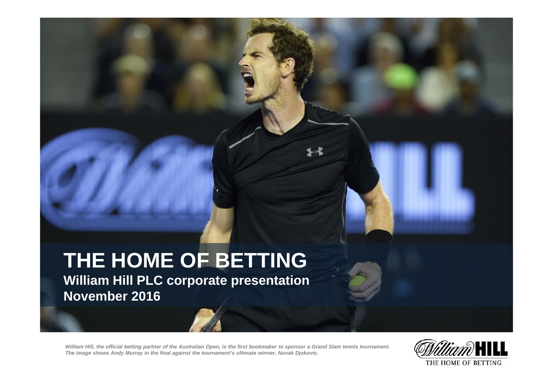# **THE HOME OF BETTING**

**William Hill PLC corporate presentation November 2016**

William Hill, the official betting partner of the Australian Open, is the first bookmaker to sponsor a Grand Slam tennis tournament.<br>The image shows Andy Murray in the final against the tournament's ultimate winner, Novak

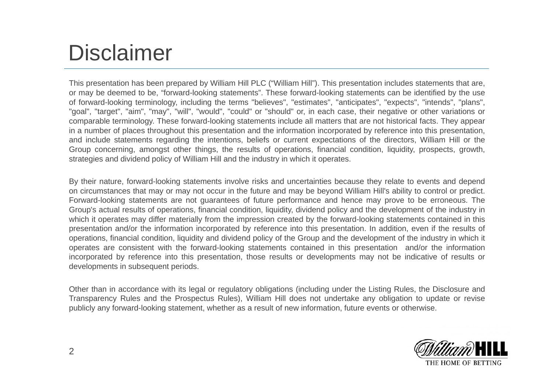# Disclaimer

This presentation has been prepared by William Hill PLC ("William Hill"). This presentation includes statements that are, or may be deemed to be, "forward-looking statements". These forward-looking statements can be identified by the use of forward-looking terminology, including the terms "believes", "estimates", "anticipates", "expects", "intends", "plans", "goal", "target", "aim", "may", "will", "would", "could" or "should" or, in each case, their negative or other variations or comparable terminology. These forward-looking statements include all matters that are not historical facts. They appear in <sup>a</sup> number of places throughout this presentation and the information incorporated by reference into this presentation, and include statements regarding the intentions, beliefs or current expectations of the directors, William Hill or the Group concerning, amongst other things, the results of operations, financial condition, liquidity, prospects, growth, strategies and dividend policy of William Hill and the industry in which it operates.

By their nature, forward-looking statements involve risks and uncertainties because they relate to events and depend on circumstances that may or may not occur in the future and may be beyond William Hill's ability to control or predict. Forward-looking statements are not guarantees of future performance and hence may prove to be erroneous. The Group's actual results of operations, financial condition, liquidity, dividend policy and the development of the industry in which it operates may differ materially from the impression created by the forward-looking statements contained in this presentation and/or the information incorporated by reference into this presentation. In addition, even if the results of operations, financial condition, liquidity and dividend policy of the Group and the development of the industry in which it operates are consistent with the forward-looking statements contained in this presentation and/or the information incorporated by reference into this presentation, those results or developments may not be indicative of results or developments in subsequent periods.

Other than in accordance with its legal or regulatory obligations (including under the Listing Rules, the Disclosure and Transparency Rules and the Prospectus Rules), William Hill does not undertake any obligation to update or revise publicly any forward-looking statement, whether as <sup>a</sup> result of new information, future events or otherwise.

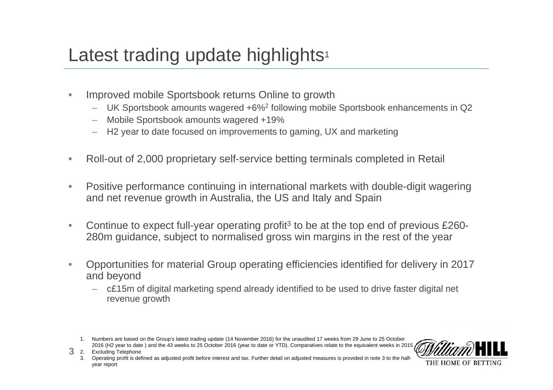## Latest trading update highlights<sup>1</sup>

- • Improved mobile Sportsbook returns Online to growth
	- $-$  UK Sportsbook amounts wagered +6%<sup>2</sup> following mobile Sportsbook enhancements in Q2
	- –Mobile Sportsbook amounts wagered +19%
	- H2 year to date focused on improvements to gaming, UX and marketing
- $\bullet$ Roll-out of 2,000 proprietary self-service betting terminals completed in Retail
- $\bullet$  Positive performance continuing in international markets with double-digit wagering and net revenue growth in Australia, the US and Italy and Spain
- $\bullet$ Continue to expect full-year operating profit<sup>3</sup> to be at the top end of previous £260-280m guidance, subject to normalised gross win margins in the rest of the year
- $\bullet$  Opportunities for material Group operating efficiencies identified for delivery in 2017 and beyond
	- c£15m of digital marketing spend already identified to be used to drive faster digital net revenue growth

<sup>1.</sup> Numbers are based on the Group's latest trading update (14 November 2016) for the unaudited 17 weeks from 29 June to 25 October 2016 (H2 year to date) and the 43 weeks to 25 October 2016 (year to date or YTD). Comparatives relate to the equivalent weeks in 2015



32. Excluding Telephone

3. Operating profit is defined as adjusted profit before interest and tax. Further detail on adjusted measures is provided in note 3 to the halfyear report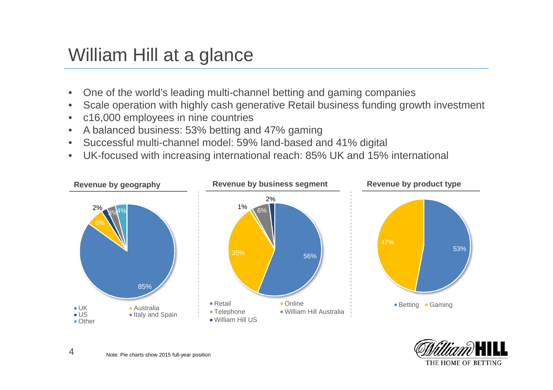#### William Hill at a glance

- $\bullet$ One of the world's leading multi-channel betting and gaming companies
- •Scale operation with highly cash generative Retail business funding growth investment
- $\bullet$ c16,000 employees in nine countries
- $\bullet$ A balanced business: 53% betting and 47% gaming
- $\bullet$ Successful multi-channel model: 59% land-based and 41% digital
- $\bullet$ UK-focused with increasing international reach: 85% UK and 15% international





4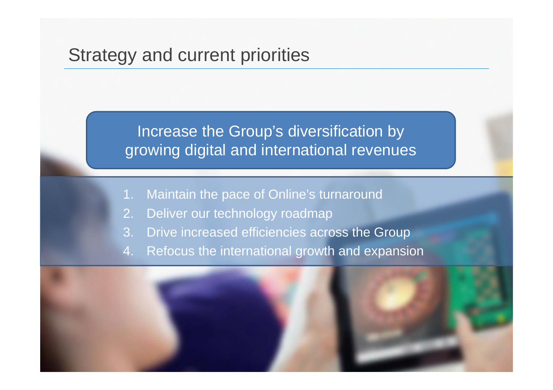#### Strategy and current priorities

Increase the Group's diversification by growing digital and international revenues

- 1. Maintain the pace of Online's turnaround
- 2. Deliver our technology roadmap
- 3. Drive increased efficiencies across the Group
- 4. Refocus the international growth and expansion

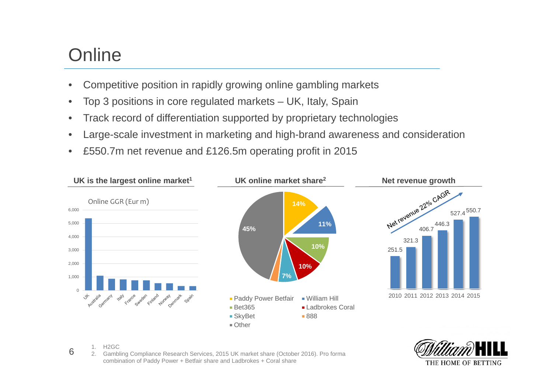### **Online**

- •Competitive position in rapidly growing online gambling markets
- •Top 3 positions in core regulated markets – UK, Italy, Spain
- •Track record of differentiation supported by proprietary technologies
- •Large-scale investment in marketing and high-brand awareness and consideration
- $\bullet$ £550.7m net revenue and £126.5m operating profit in 2015





1. H2GC

6

2. Gambling Compliance Research Services, 2015 UK market share (October 2016). Pro forma combination of Paddy Power + Betfair share and Ladbrokes + Coral share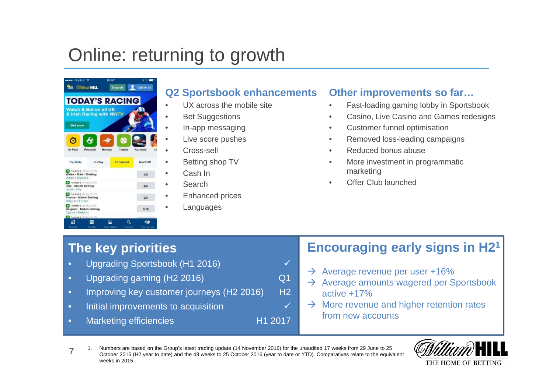## Online: returning to growth



#### **Q2 Sportsbook enhancements**

- UX across the mobile site
- Bet Suggestions
- In-app messaging
- Live score pushes
- Cross-sell
- •Betting shop TV
- •Cash In
- Search
- •Enhanced prices
- •Languages

#### **Other improvements so far…**

- •Fast-loading gaming lobby in Sportsbook
- •Casino, Live Casino and Games redesigns
- •Customer funnel optimisation
- •Removed loss-leading campaigns
- •Reduced bonus abuse
- • More investment in programmatic marketing
- •Offer Club launched

#### **The key priorities**

- Upgrading Sportsbook (H1 2016)
- •Upgrading gaming (H2 2016) Q1
- •Improving key customer journeys (H<sub>2</sub> 2016) H<sub>2</sub>
- •Initial improvements to acquisition  $\checkmark$
- •Marketing efficiencies H1 2017

#### **Encouraging early signs in H21**

- $\rightarrow$  Average revenue per user +16%
- $\rightarrow$  Average amounts wagered per Sportsbook active +17%
- $\rightarrow$  More revenue and higher retention rates from new accounts

71. Numbers are based on the Group's latest trading update (14 November 2016) for the unaudited 17 weeks from 29 June to 25 October 2016 (H2 year to date) and the 43 weeks to 25 October 2016 (year to date or YTD). Comparatives relate to the equivalent weeks in 2015

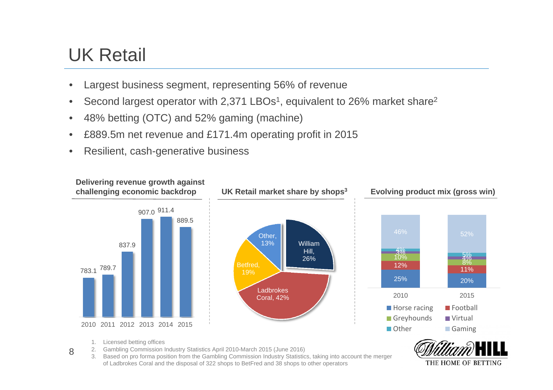### UK Retail

- •Largest business segment, representing 56% of revenue
- •Second largest operator with 2,371 LBOs<sup>1</sup>, equivalent to 26% market share<sup>2</sup>
- •48% betting (OTC) and 52% gaming (machine)
- •£889.5m net revenue and £171.4m operating profit in 2015
- •Resilient, cash-generative business



3. Based on pro forma position from the Gambling Commission Industry Statistics, taking into account the merger of Ladbrokes Coral and the disposal of 322 shops to BetFred and 38 shops to other operators

THE HOME OF BETTING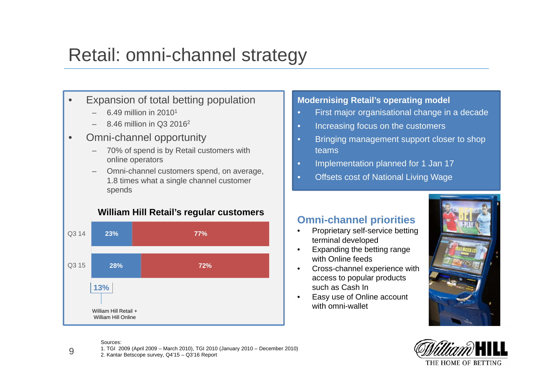### Retail: omni-channel strategy

- • Expansion of total betting population
	- 6.49 million in 20101
	- 8.46 million in Q3 20162
- • Omni-channel opportunity
	- 70% of spend is by Retail customers with online operators
	- Omni-channel customers spend, on average, 1.8 times what a single channel customer spends



#### **Modernising Retail's operating model** First major organisational change in a decade

- Increasing focus on the customers
- Bringing management support closer to shop teams
- Implementation planned for 1 Jan 17
- •Offsets cost of National Living Wage

#### **Omni-channel priorities**

- • Proprietary self-service betting terminal developed
- • Expanding the betting range with Online feeds
- $\bullet$  Cross-channel experience with access to popular products such as Cash In
- • Easy use of Online account with omni-wallet





Sources:

9

1. TGI 2009 (April 2009 – March 2010), TGI 2010 (January 2010 – December 2010)

2. Kantar Betscope survey, Q4'15 – Q3'16 Report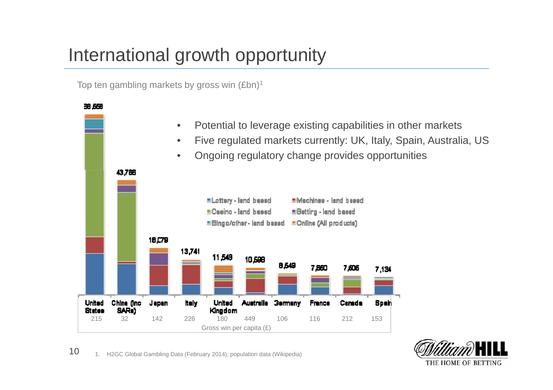### International growth opportunity

Top ten gambling markets by gross win (£bn)<sup>1</sup>





10 1. H2GC Global Gambling Data (February 2014); population data (Wikipedia)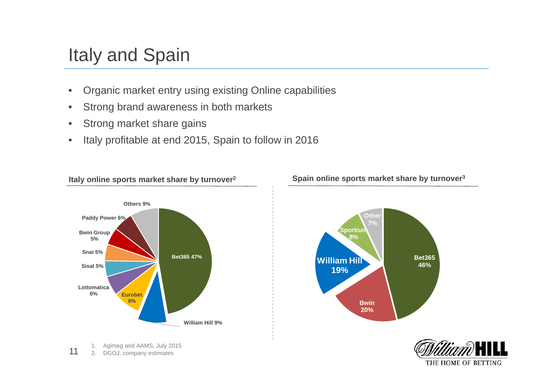## Italy and Spain

- •Organic market entry using existing Online capabilities
- •Strong brand awareness in both markets
- •Strong market share gains
- •Italy profitable at end 2015, Spain to follow in 2016



**Italy online sports market share by turnover2**

111. Agimeg and AAMS, July 2015 2. DGOJ, company estimates

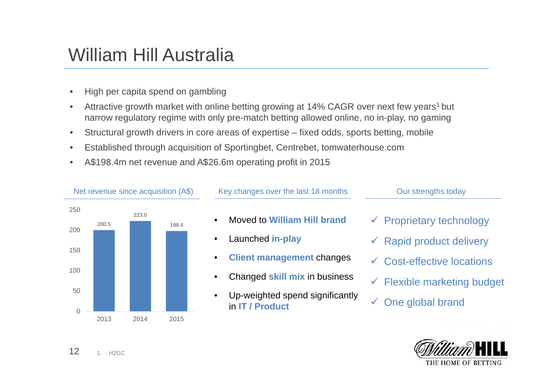#### William Hill Australia

- •High per capita spend on gambling
- •Attractive growth market with online betting growing at 14% CAGR over next few years<sup>1</sup> but narrow regulatory regime with only pre-match betting allowed online, no in-play, no gaming
- •Structural growth drivers in core areas of expertise – fixed odds, sports betting, mobile
- •Established through acquisition of Sportingbet, Centrebet, tomwaterhouse.com
- •A\$198.4m net revenue and A\$26.6m operating profit in 2015





121. H2GC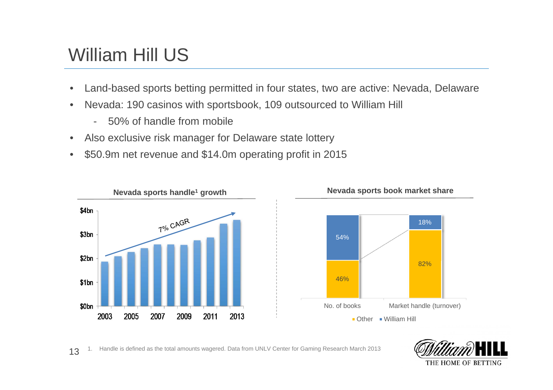#### William Hill US

- •Land-based sports betting permitted in four states, two are active: Nevada, Delaware
- • Nevada: 190 casinos with sportsbook, 109 outsourced to William Hill
	- -50% of handle from mobile
- •Also exclusive risk manager for Delaware state lottery
- •\$50.9m net revenue and \$14.0m operating profit in 2015





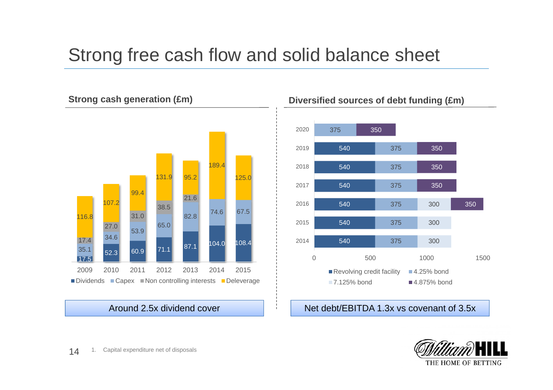### Strong free cash flow and solid balance sheet



Around 2.5x dividend cover



#### Net debt/EBITDA 1.3x vs covenant of 3.5x

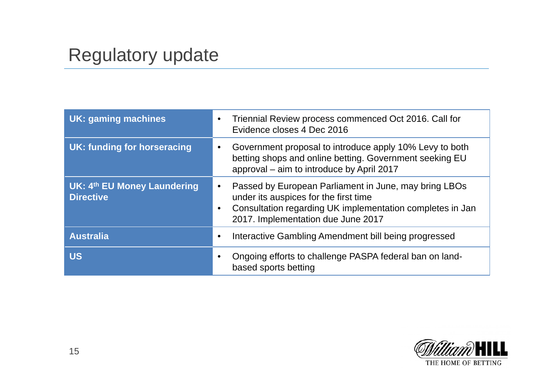## Regulatory update

| <b>UK: gaming machines</b>                      | Triennial Review process commenced Oct 2016. Call for<br>Evidence closes 4 Dec 2016                                                                                                                            |
|-------------------------------------------------|----------------------------------------------------------------------------------------------------------------------------------------------------------------------------------------------------------------|
| UK: funding for horseracing                     | Government proposal to introduce apply 10% Levy to both<br>betting shops and online betting. Government seeking EU<br>approval – aim to introduce by April 2017                                                |
| UK: 4th EU Money Laundering<br><b>Directive</b> | Passed by European Parliament in June, may bring LBOs<br>under its auspices for the first time<br>Consultation regarding UK implementation completes in Jan<br>$\bullet$<br>2017. Implementation due June 2017 |
| <b>Australia</b>                                | Interactive Gambling Amendment bill being progressed<br>$\bullet$                                                                                                                                              |
| <b>US</b>                                       | Ongoing efforts to challenge PASPA federal ban on land-<br>based sports betting                                                                                                                                |